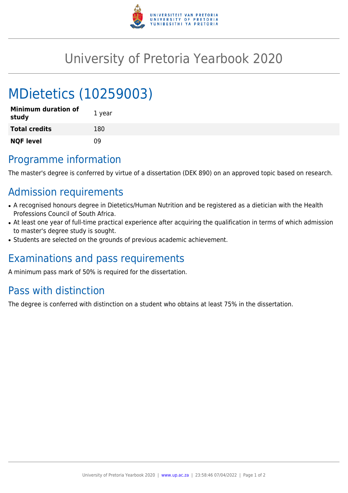

## University of Pretoria Yearbook 2020

# MDietetics (10259003)

| <b>Minimum duration of</b><br>study | 1 year |
|-------------------------------------|--------|
| <b>Total credits</b>                | 180    |
| <b>NQF level</b>                    | ΩÓ     |

### Programme information

The master's degree is conferred by virtue of a dissertation (DEK 890) on an approved topic based on research.

### Admission requirements

- A recognised honours degree in Dietetics/Human Nutrition and be registered as a dietician with the Health Professions Council of South Africa.
- At least one year of full-time practical experience after acquiring the qualification in terms of which admission to master's degree study is sought.
- Students are selected on the grounds of previous academic achievement.

### Examinations and pass requirements

A minimum pass mark of 50% is required for the dissertation.

### Pass with distinction

The degree is conferred with distinction on a student who obtains at least 75% in the dissertation.